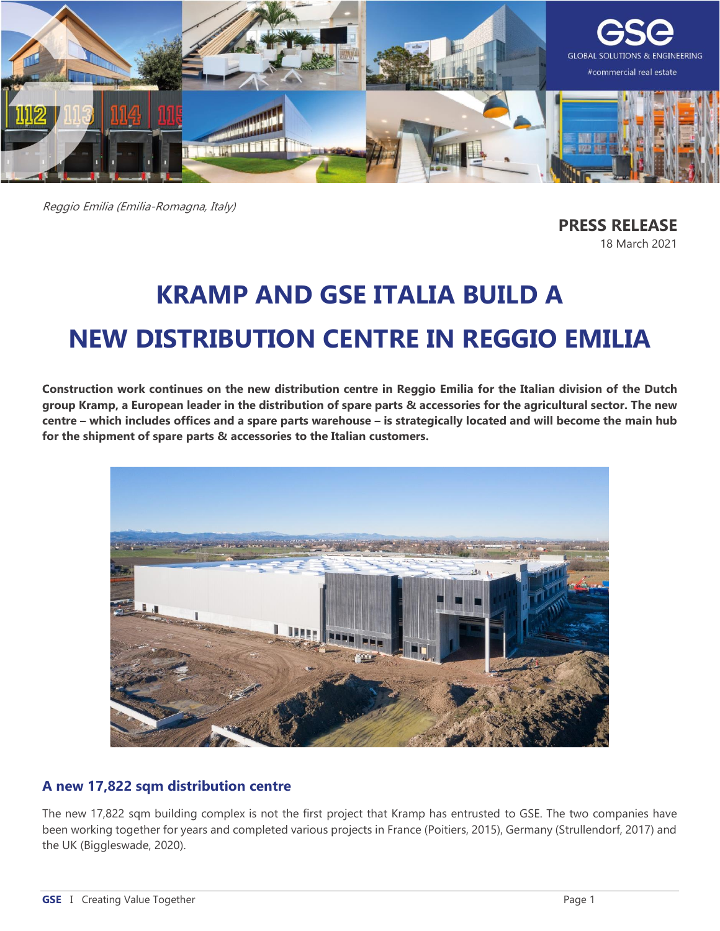

Reggio Emilia (Emilia-Romagna, Italy)

**PRESS RELEASE** 18 March 2021

# **KRAMP AND GSE ITALIA BUILD A NEW DISTRIBUTION CENTRE IN REGGIO EMILIA**

**Construction work continues on the new distribution centre in Reggio Emilia for the Italian division of the Dutch group Kramp, a European leader in the distribution of spare parts & accessories for the agricultural sector. The new centre – which includes offices and a spare parts warehouse – is strategically located and will become the main hub for the shipment of spare parts & accessories to the Italian customers.**



# **A new 17,822 sqm distribution centre**

The new 17,822 sqm building complex is not the first project that Kramp has entrusted to GSE. The two companies have been working together for years and completed various projects in France (Poitiers, 2015), Germany (Strullendorf, 2017) and the UK (Biggleswade, 2020).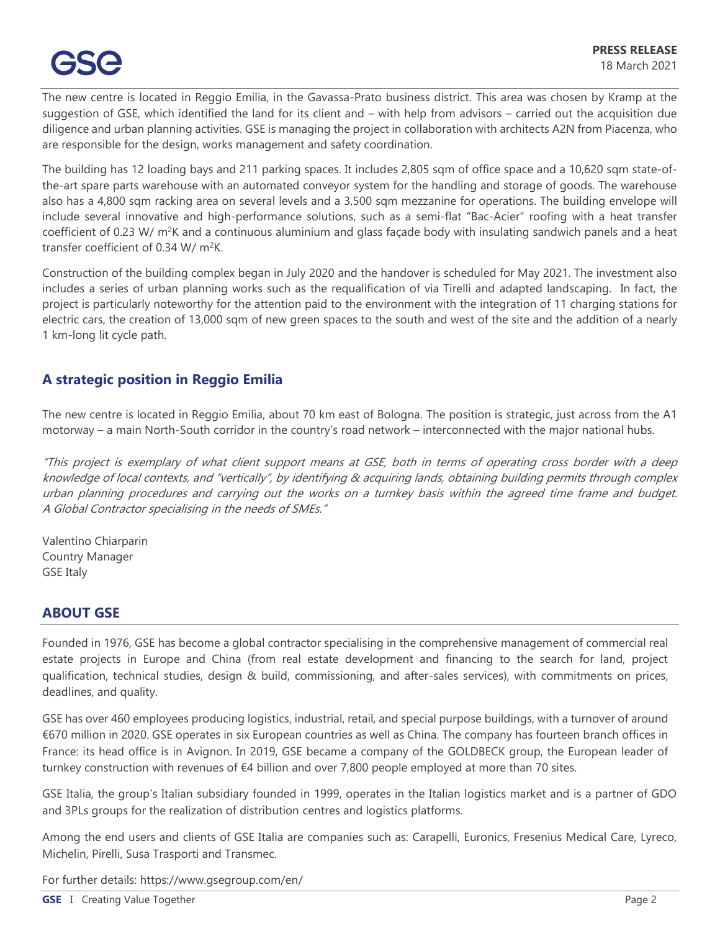The new centre is located in Reggio Emilia, in the Gavassa-Prato business district. This area was chosen by Kramp at the suggestion of GSE, which identified the land for its client and – with help from advisors – carried out the acquisition due diligence and urban planning activities. GSE is managing the project in collaboration with architects A2N from Piacenza, who are responsible for the design, works management and safety coordination.

The building has 12 loading bays and 211 parking spaces. It includes 2,805 sqm of office space and a 10,620 sqm state-ofthe-art spare parts warehouse with an automated conveyor system for the handling and storage of goods. The warehouse also has a 4,800 sqm racking area on several levels and a 3,500 sqm mezzanine for operations. The building envelope will include several innovative and high-performance solutions, such as a semi-flat "Bac-Acier" roofing with a heat transfer coefficient of 0.23 W/  $m^2K$  and a continuous aluminium and glass façade body with insulating sandwich panels and a heat transfer coefficient of 0.34 W/  $m^2K$ .

Construction of the building complex began in July 2020 and the handover is scheduled for May 2021. The investment also includes a series of urban planning works such as the requalification of via Tirelli and adapted landscaping. In fact, the project is particularly noteworthy for the attention paid to the environment with the integration of 11 charging stations for electric cars, the creation of 13,000 sqm of new green spaces to the south and west of the site and the addition of a nearly 1 km-long lit cycle path.

# **A strategic position in Reggio Emilia**

The new centre is located in Reggio Emilia, about 70 km east of Bologna. The position is strategic, just across from the A1 motorway – a main North-South corridor in the country's road network – interconnected with the major national hubs.

"This project is exemplary of what client support means at GSE, both in terms of operating cross border with a deep knowledge of local contexts, and "vertically", by identifying & acquiring lands, obtaining building permits through complex urban planning procedures and carrying out the works on a turnkey basis within the agreed time frame and budget. A Global Contractor specialising in the needs of SMEs."

Valentino Chiarparin Country Manager GSE Italy

#### **ABOUT GSE**

Founded in 1976, GSE has become a global contractor specialising in the comprehensive management of commercial real estate projects in Europe and China (from real estate development and financing to the search for land, project qualification, technical studies, design & build, commissioning, and after-sales services), with commitments on prices, deadlines, and quality.

GSE has over 460 employees producing logistics, industrial, retail, and special purpose buildings, with a turnover of around €670 million in 2020. GSE operates in six European countries as well as China. The company has fourteen branch offices in France: its head office is in Avignon. In 2019, GSE became a company of the GOLDBECK group, the European leader of turnkey construction with revenues of €4 billion and over 7,800 people employed at more than 70 sites.

GSE Italia, the group's Italian subsidiary founded in 1999, operates in the Italian logistics market and is a partner of GDO and 3PLs groups for the realization of distribution centres and logistics platforms.

Among the end users and clients of GSE Italia are companies such as: Carapelli, Euronics, Fresenius Medical Care, Lyreco, Michelin, Pirelli, Susa Trasporti and Transmec.

For further details:<https://www.gsegroup.com/en/>